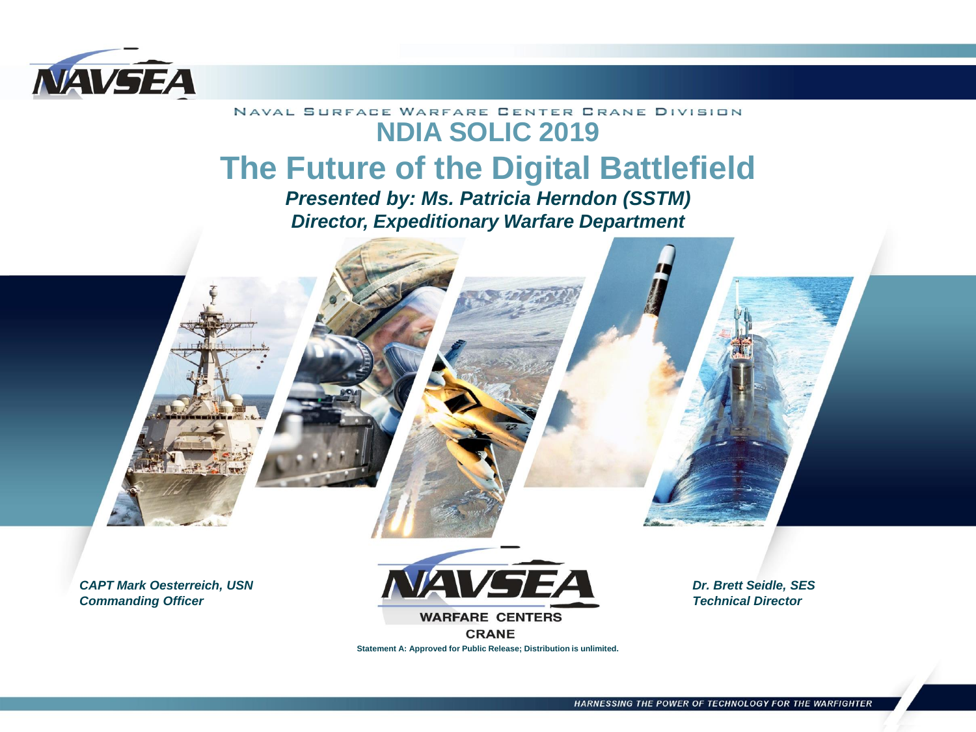

#### NAVAL SURFACE WARFARE CENTER CRANE DIVISION **NDIA SOLIC 2019 The Future of the Digital Battlefield**

*Presented by: Ms. Patricia Herndon (SSTM) Director, Expeditionary Warfare Department*

*CAPT Mark Oesterreich, USN Commanding Officer* 



**CRANE** 

**Statement A: Approved for Public Release; Distribution is unlimited.**

*Dr. Brett Seidle, SES Technical Director*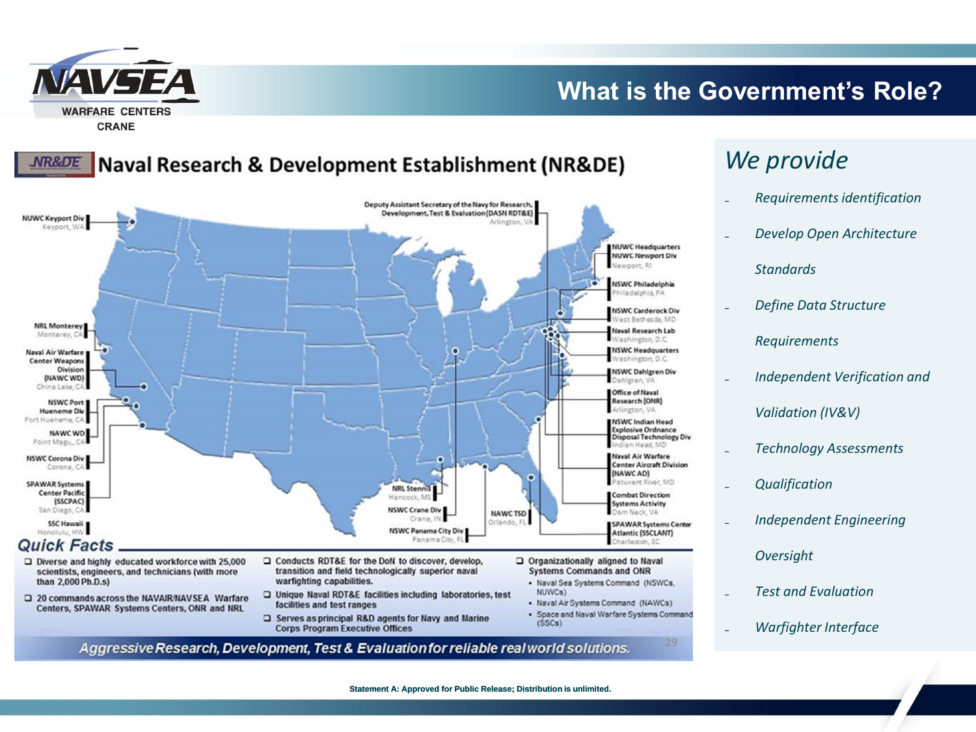

#### **What is the Government's Role?**

#### **NR&DE Naval Research & Development Establishment (NR&DE)**



- $\Box$  Diverse and highly educated workforce with 25,000 scientists, engineers, and technicians (with more than 2,000 Ph.D.s)
- 20 commands across the NAVAIR/NAVSEA Warfare Centers, SPAWAR Systems Centers, ONR and NRL
- □ Conducts RDT&E for the DoN to discover, develop, transition and field technologically superior naval warfighting capabilities.
- □ Unique Naval RDT&E facilities including laboratories, test facilities and test ranges
- Serves as principal R&D agents for Navy and Marine **Corps Program Executive Offices**
- Organizationally aligned to Naval **Systems Commands and ONR** 
	- Naval Sea Systems Command (NSWCs, NUWCs)
	- Naval Air Systems Command (NAWCs)
	- · Space and Naval Warfare Systems Command  $(SSCs)$

29

Aggressive Research, Development, Test & Evaluation for reliable real world solutions.

### *We provide*

- ₋ *Requirements identification*
- ₋ *Develop Open Architecture* 
	- *Standards*
- ₋ *Define Data Structure Requirements*
- ₋ *Independent Verification and Validation (IV&V)*
- ₋ *Technology Assessments*
- ₋ *Qualification*
- ₋ *Independent Engineering* 
	- *Oversight*
- ₋ *Test and Evaluation*
- ₋ *Warfighter Interface*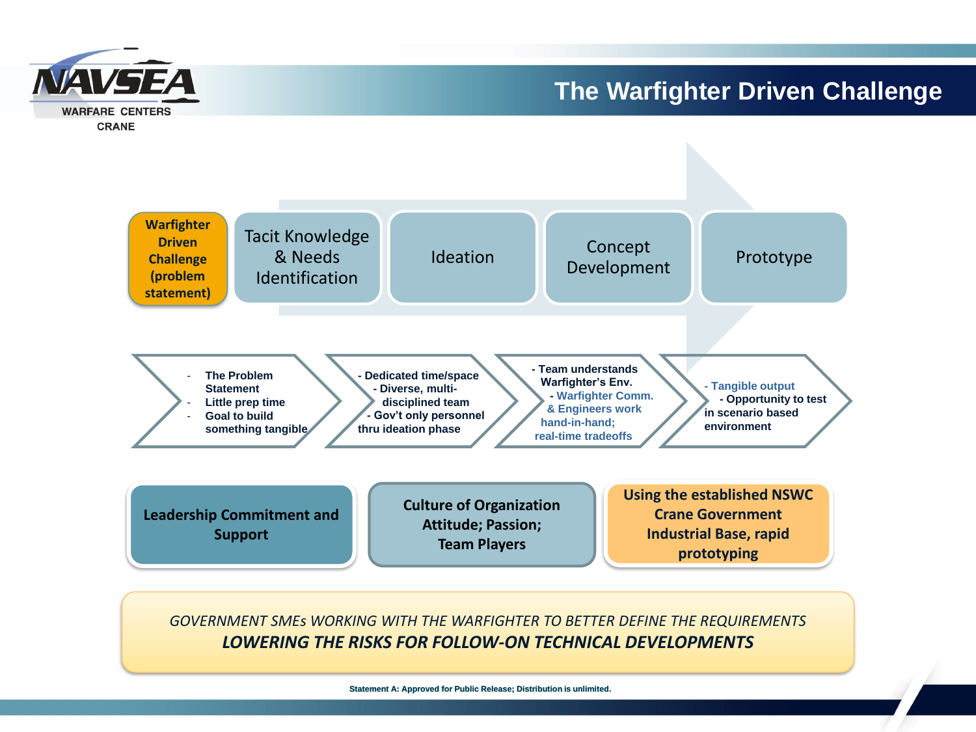

#### **The Warfighter Driven Challenge**



*GOVERNMENT SMEs WORKING WITH THE WARFIGHTER TO BETTER DEFINE THE REQUIREMENTS LOWERING THE RISKS FOR FOLLOW-ON TECHNICAL DEVELOPMENTS*

**Statement A: Approved for Public Release; Distribution is unlimited.**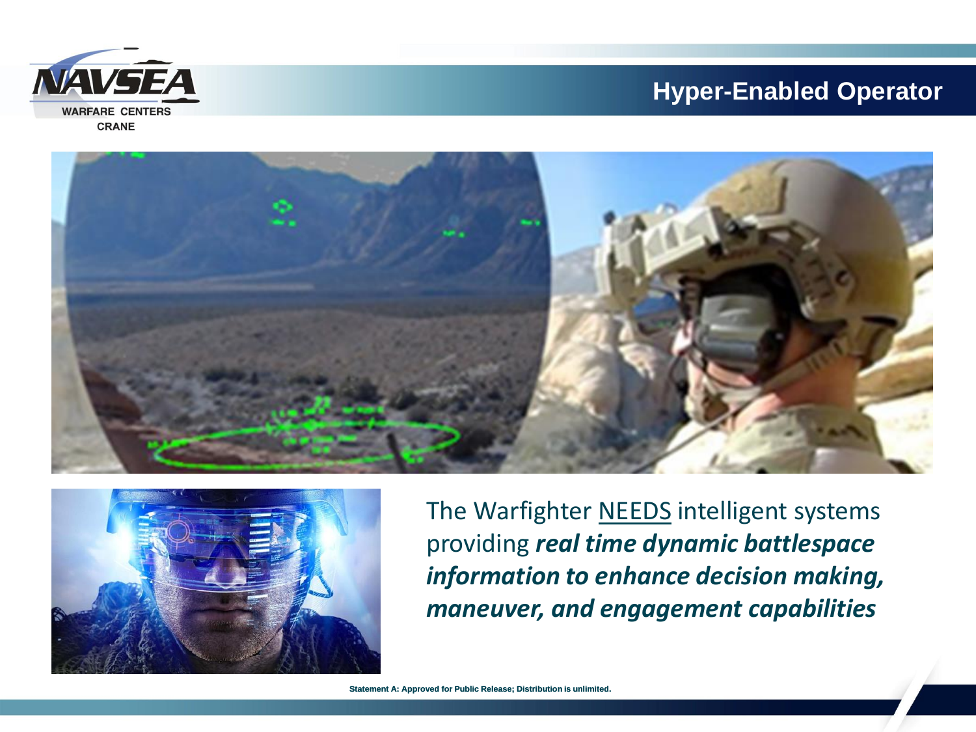#### **Hyper-Enabled Operator**





![](_page_3_Picture_3.jpeg)

The Warfighter NEEDS intelligent systems providing *real time dynamic battlespace information to enhance decision making, maneuver, and engagement capabilities*

**Statement A: Approved for Public Release; Distribution is unlimited.**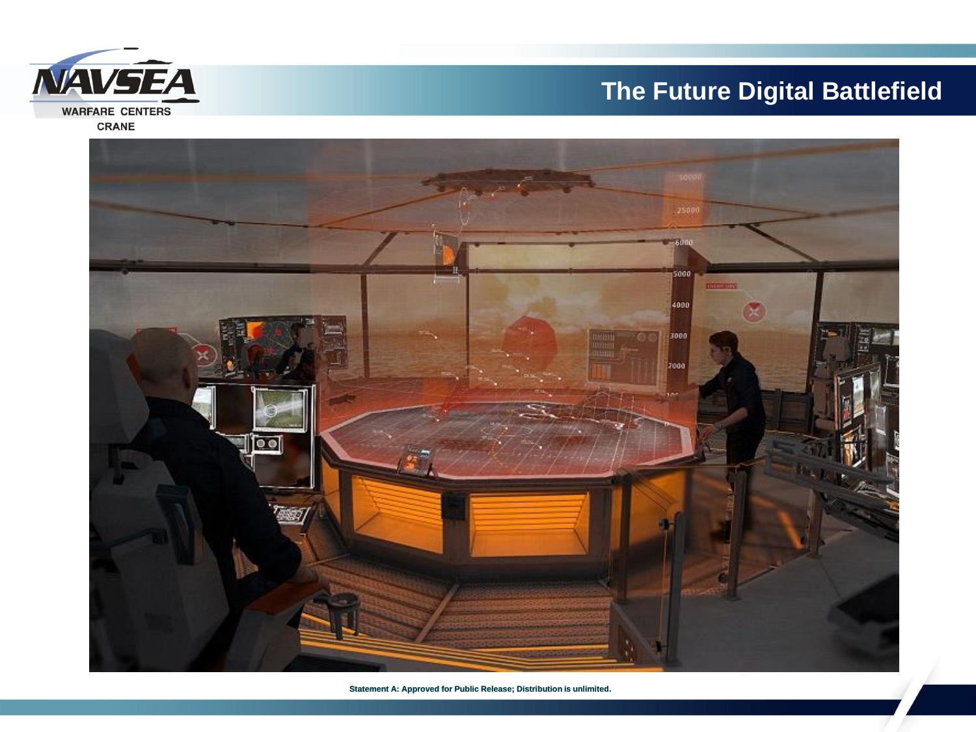## **The Future Digital Battlefield**

![](_page_4_Picture_1.jpeg)

![](_page_4_Picture_2.jpeg)

**Statement A: Approved for Public Release; Distribution is unlimited.**